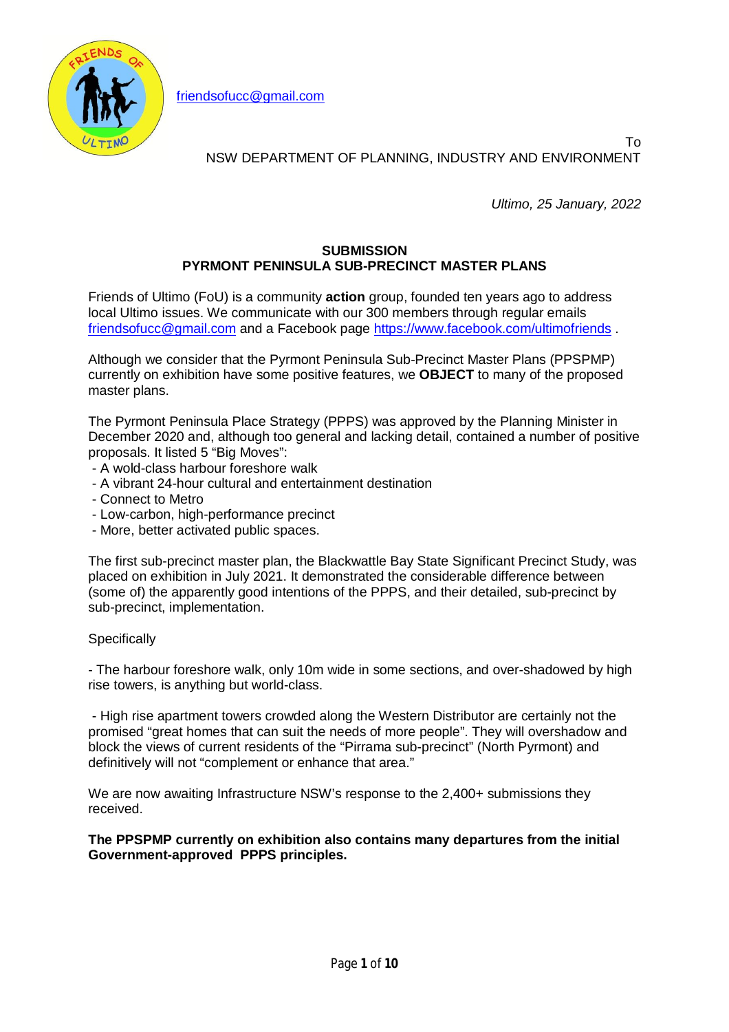

friendsofucc@gmail.com

# NSW DEPARTMENT OF PLANNING, INDUSTRY AND ENVIRONMENT

*Ultimo, 25 January, 2022*

To

### **SUBMISSION PYRMONT PENINSULA SUB-PRECINCT MASTER PLANS**

Friends of Ultimo (FoU) is a community **action** group, founded ten years ago to address local Ultimo issues. We communicate with our 300 members through regular emails friendsofucc@gmail.com and a Facebook page https://www.facebook.com/ultimofriends .

Although we consider that the Pyrmont Peninsula Sub-Precinct Master Plans (PPSPMP) currently on exhibition have some positive features, we **OBJECT** to many of the proposed master plans.

The Pyrmont Peninsula Place Strategy (PPPS) was approved by the Planning Minister in December 2020 and, although too general and lacking detail, contained a number of positive proposals. It listed 5 "Big Moves":

- A wold-class harbour foreshore walk
- A vibrant 24-hour cultural and entertainment destination
- Connect to Metro
- Low-carbon, high-performance precinct
- More, better activated public spaces.

The first sub-precinct master plan, the Blackwattle Bay State Significant Precinct Study, was placed on exhibition in July 2021. It demonstrated the considerable difference between (some of) the apparently good intentions of the PPPS, and their detailed, sub-precinct by sub-precinct, implementation.

### **Specifically**

- The harbour foreshore walk, only 10m wide in some sections, and over-shadowed by high rise towers, is anything but world-class.

- High rise apartment towers crowded along the Western Distributor are certainly not the promised "great homes that can suit the needs of more people". They will overshadow and block the views of current residents of the "Pirrama sub-precinct" (North Pyrmont) and definitively will not "complement or enhance that area."

We are now awaiting Infrastructure NSW's response to the 2,400+ submissions they received.

**The PPSPMP currently on exhibition also contains many departures from the initial Government-approved PPPS principles.**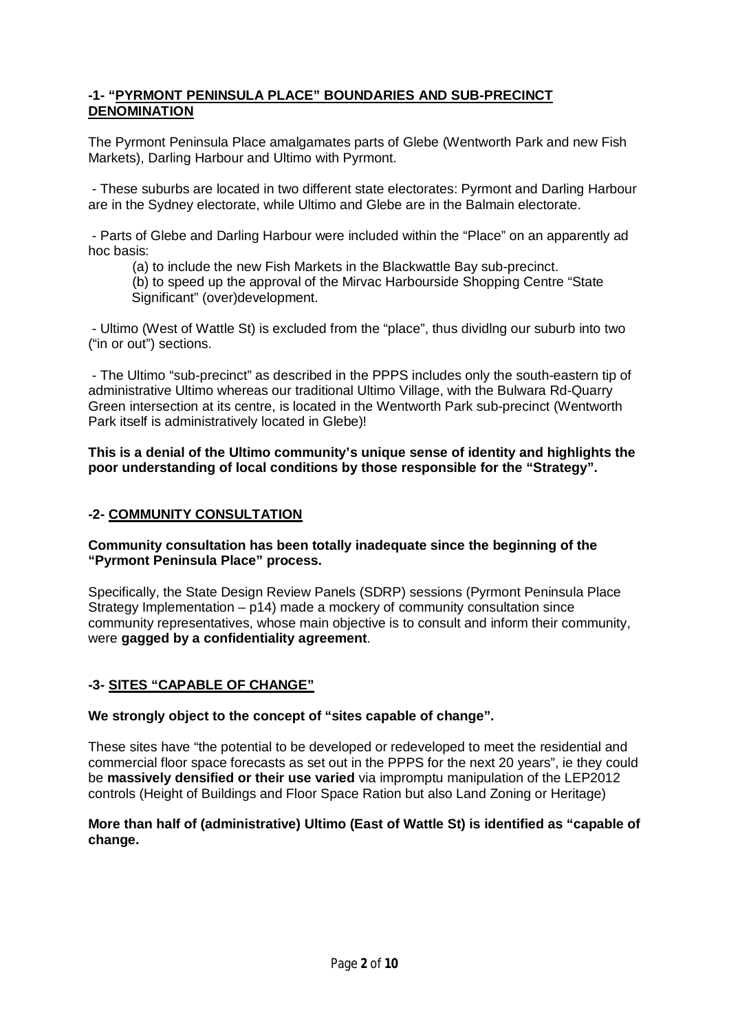### **-1- "PYRMONT PENINSULA PLACE" BOUNDARIES AND SUB-PRECINCT DENOMINATION**

The Pyrmont Peninsula Place amalgamates parts of Glebe (Wentworth Park and new Fish Markets), Darling Harbour and Ultimo with Pyrmont.

- These suburbs are located in two different state electorates: Pyrmont and Darling Harbour are in the Sydney electorate, while Ultimo and Glebe are in the Balmain electorate.

- Parts of Glebe and Darling Harbour were included within the "Place" on an apparently ad hoc basis:

(a) to include the new Fish Markets in the Blackwattle Bay sub-precinct.

(b) to speed up the approval of the Mirvac Harbourside Shopping Centre "State Significant" (over)development.

- Ultimo (West of Wattle St) is excluded from the "place", thus dividlng our suburb into two ("in or out") sections.

- The Ultimo "sub-precinct" as described in the PPPS includes only the south-eastern tip of administrative Ultimo whereas our traditional Ultimo Village, with the Bulwara Rd-Quarry Green intersection at its centre, is located in the Wentworth Park sub-precinct (Wentworth Park itself is administratively located in Glebe)!

**This is a denial of the Ultimo community's unique sense of identity and highlights the poor understanding of local conditions by those responsible for the "Strategy".**

### **-2- COMMUNITY CONSULTATION**

**Community consultation has been totally inadequate since the beginning of the "Pyrmont Peninsula Place" process.**

Specifically, the State Design Review Panels (SDRP) sessions (Pyrmont Peninsula Place Strategy Implementation – p14) made a mockery of community consultation since community representatives, whose main objective is to consult and inform their community, were **gagged by a confidentiality agreement**.

## **-3- SITES "CAPABLE OF CHANGE"**

**We strongly object to the concept of "sites capable of change".**

These sites have "the potential to be developed or redeveloped to meet the residential and commercial floor space forecasts as set out in the PPPS for the next 20 years", ie they could be **massively densified or their use varied** via impromptu manipulation of the LEP2012 controls (Height of Buildings and Floor Space Ration but also Land Zoning or Heritage)

### **More than half of (administrative) Ultimo (East of Wattle St) is identified as "capable of change.**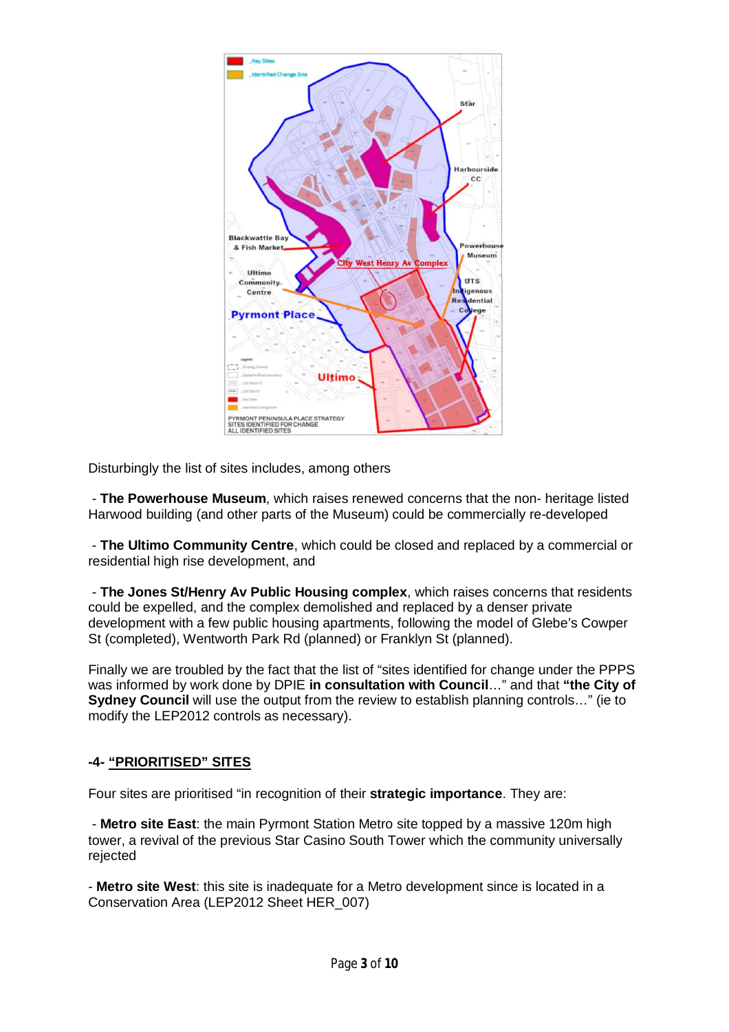

Disturbingly the list of sites includes, among others

- **The Powerhouse Museum**, which raises renewed concerns that the non- heritage listed Harwood building (and other parts of the Museum) could be commercially re-developed

- **The Ultimo Community Centre**, which could be closed and replaced by a commercial or residential high rise development, and

- **The Jones St/Henry Av Public Housing complex**, which raises concerns that residents could be expelled, and the complex demolished and replaced by a denser private development with a few public housing apartments, following the model of Glebe's Cowper St (completed), Wentworth Park Rd (planned) or Franklyn St (planned).

Finally we are troubled by the fact that the list of "sites identified for change under the PPPS was informed by work done by DPIE **in consultation with Council**…" and that **"the City of Sydney Council** will use the output from the review to establish planning controls…" (ie to modify the LEP2012 controls as necessary).

## **-4- "PRIORITISED" SITES**

Four sites are prioritised "in recognition of their **strategic importance**. They are:

- **Metro site East**: the main Pyrmont Station Metro site topped by a massive 120m high tower, a revival of the previous Star Casino South Tower which the community universally rejected

- **Metro site West**: this site is inadequate for a Metro development since is located in a Conservation Area (LEP2012 Sheet HER\_007)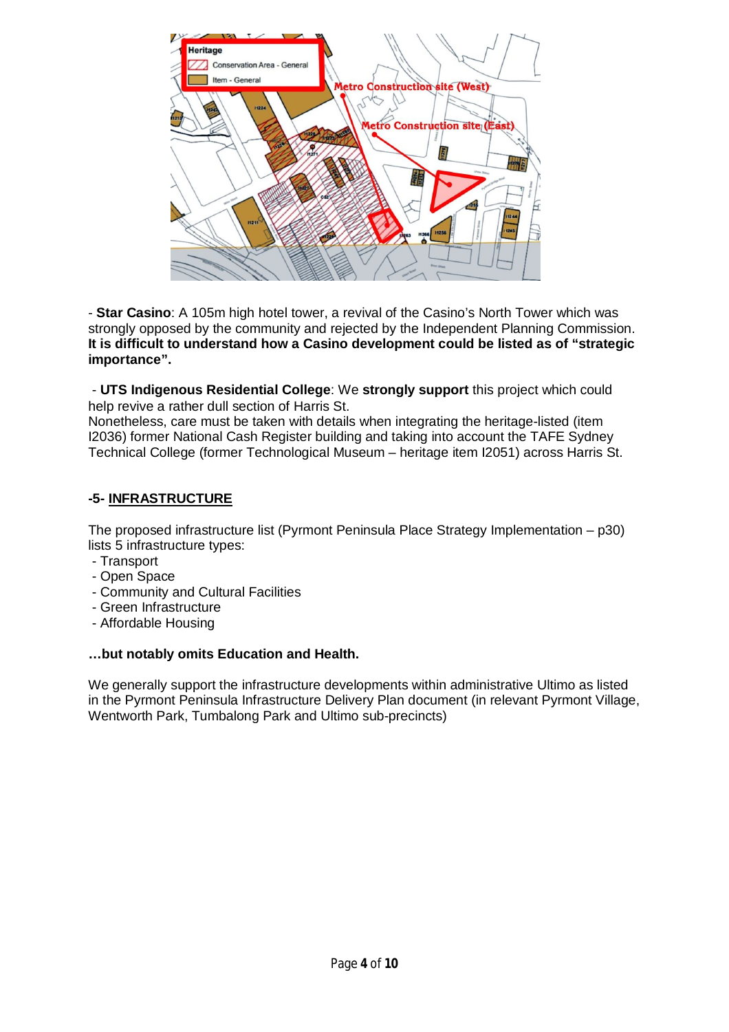

- **Star Casino**: A 105m high hotel tower, a revival of the Casino's North Tower which was strongly opposed by the community and rejected by the Independent Planning Commission. **It is difficult to understand how a Casino development could be listed as of "strategic importance".**

- **UTS Indigenous Residential College**: We **strongly support** this project which could help revive a rather dull section of Harris St.

Nonetheless, care must be taken with details when integrating the heritage-listed (item I2036) former National Cash Register building and taking into account the TAFE Sydney Technical College (former Technological Museum – heritage item I2051) across Harris St.

## **-5- INFRASTRUCTURE**

The proposed infrastructure list (Pyrmont Peninsula Place Strategy Implementation – p30) lists 5 infrastructure types:

- Transport
- Open Space
- Community and Cultural Facilities
- Green Infrastructure
- Affordable Housing

### **…but notably omits Education and Health.**

We generally support the infrastructure developments within administrative Ultimo as listed in the Pyrmont Peninsula Infrastructure Delivery Plan document (in relevant Pyrmont Village, Wentworth Park, Tumbalong Park and Ultimo sub-precincts)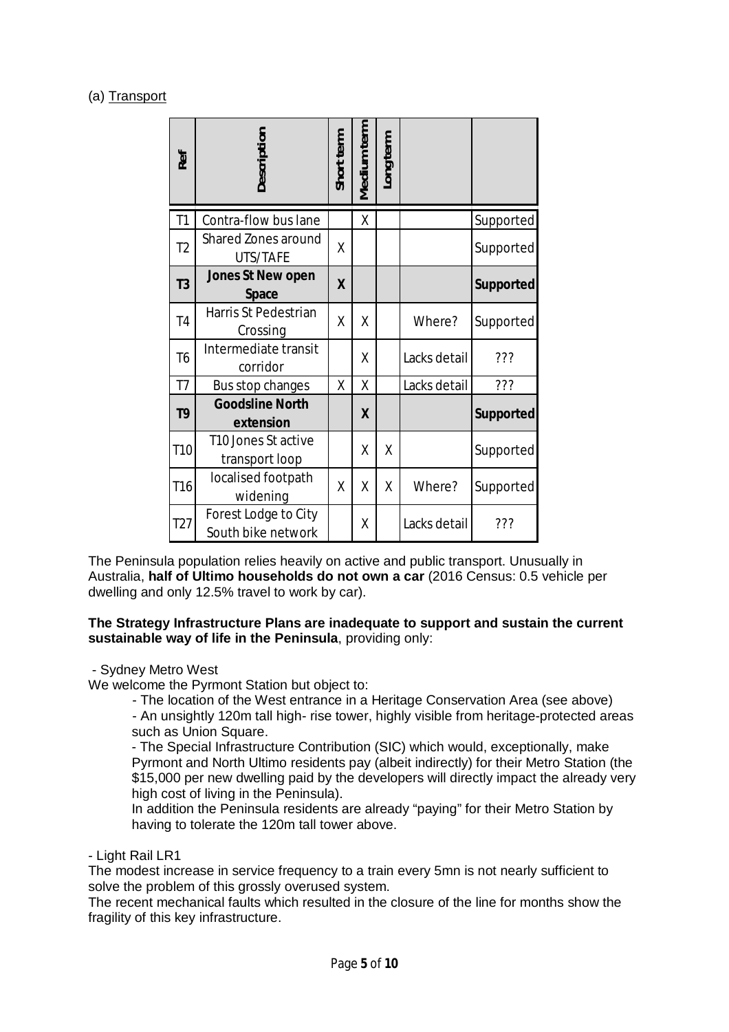## (a) Transport

|                     | Ref             | Description                                                                                                                                                                                                                                                                                                                                                                                                                                                                                                                                                                                                                                                                                                                                                                                                                                           | Short term | Medium term      | Long term |              |                  |
|---------------------|-----------------|-------------------------------------------------------------------------------------------------------------------------------------------------------------------------------------------------------------------------------------------------------------------------------------------------------------------------------------------------------------------------------------------------------------------------------------------------------------------------------------------------------------------------------------------------------------------------------------------------------------------------------------------------------------------------------------------------------------------------------------------------------------------------------------------------------------------------------------------------------|------------|------------------|-----------|--------------|------------------|
|                     | T1              | Contra-flow bus lane                                                                                                                                                                                                                                                                                                                                                                                                                                                                                                                                                                                                                                                                                                                                                                                                                                  |            | χ                |           |              | Supported        |
|                     | T <sub>2</sub>  | <b>Shared Zones around</b><br>UTS/TAFE                                                                                                                                                                                                                                                                                                                                                                                                                                                                                                                                                                                                                                                                                                                                                                                                                | X          |                  |           |              | Supported        |
|                     | T <sub>3</sub>  | <b>Jones St New open</b><br><b>Space</b>                                                                                                                                                                                                                                                                                                                                                                                                                                                                                                                                                                                                                                                                                                                                                                                                              | X          |                  |           |              | <b>Supported</b> |
|                     | T <sub>4</sub>  | Harris St Pedestrian<br>Crossing                                                                                                                                                                                                                                                                                                                                                                                                                                                                                                                                                                                                                                                                                                                                                                                                                      | χ          | X                |           | Where?       | Supported        |
|                     | T <sub>6</sub>  | Intermediate transit<br>corridor                                                                                                                                                                                                                                                                                                                                                                                                                                                                                                                                                                                                                                                                                                                                                                                                                      |            | X                |           | Lacks detail | ???              |
|                     | T <sub>7</sub>  | Bus stop changes                                                                                                                                                                                                                                                                                                                                                                                                                                                                                                                                                                                                                                                                                                                                                                                                                                      | χ          | Χ                |           | Lacks detail | 772              |
|                     | T <sub>9</sub>  | <b>Goodsline North</b><br>extension                                                                                                                                                                                                                                                                                                                                                                                                                                                                                                                                                                                                                                                                                                                                                                                                                   |            | $\boldsymbol{X}$ |           |              | <b>Supported</b> |
|                     | T <sub>10</sub> | T10 Jones St active<br>transport loop                                                                                                                                                                                                                                                                                                                                                                                                                                                                                                                                                                                                                                                                                                                                                                                                                 |            | χ                | Χ         |              | Supported        |
|                     | T <sub>16</sub> | localised footpath<br>widening                                                                                                                                                                                                                                                                                                                                                                                                                                                                                                                                                                                                                                                                                                                                                                                                                        | χ          | X                | X         | Where?       | Supported        |
|                     | T <sub>27</sub> | Forest Lodge to City<br>South bike network                                                                                                                                                                                                                                                                                                                                                                                                                                                                                                                                                                                                                                                                                                                                                                                                            |            | χ                |           | Lacks detail | ???              |
| - Sydney Metro West |                 | The Peninsula population relies heavily on active and public transport. Unus<br>Australia, half of Ultimo households do not own a car (2016 Census: 0.5<br>dwelling and only 12.5% travel to work by car).<br>The Strategy Infrastructure Plans are inadequate to support and sustai<br>sustainable way of life in the Peninsula, providing only:<br>We welcome the Pyrmont Station but object to:<br>- The location of the West entrance in a Heritage Conservation Area<br>- An unsightly 120m tall high- rise tower, highly visible from heritage-<br>such as Union Square.<br>- The Special Infrastructure Contribution (SIC) which would, exceptio<br>Pyrmont and North Ultimo residents pay (albeit indirectly) for their Me<br>\$15,000 per new dwelling paid by the developers will directly impact<br>high cost of living in the Peninsula). |            |                  |           |              |                  |
|                     |                 | In addition the Peninsula residents are already "paying" for their Metr<br>having to tolerate the 120m tall tower above.                                                                                                                                                                                                                                                                                                                                                                                                                                                                                                                                                                                                                                                                                                                              |            |                  |           |              |                  |
| - Light Rail LR1    |                 | The modest increase in service frequency to a train every 5mn is not nearly<br>solve the problem of this grossly overused system.<br>The recent mechanical faults which resulted in the closure of the line for mor<br>fragility of this key infrastructure.                                                                                                                                                                                                                                                                                                                                                                                                                                                                                                                                                                                          |            |                  |           |              |                  |

The Peninsula population relies heavily on active and public transport. Unusually in Australia, **half of Ultimo households do not own a car** (2016 Census: 0.5 vehicle per dwelling and only 12.5% travel to work by car).

#### **The Strategy Infrastructure Plans are inadequate to support and sustain the current sustainable way of life in the Peninsula**, providing only:

#### - Sydney Metro West

- The location of the West entrance in a Heritage Conservation Area (see above)

- An unsightly 120m tall high- rise tower, highly visible from heritage-protected areas such as Union Square.

- The Special Infrastructure Contribution (SIC) which would, exceptionally, make Pyrmont and North Ultimo residents pay (albeit indirectly) for their Metro Station (the \$15,000 per new dwelling paid by the developers will directly impact the already very high cost of living in the Peninsula).

In addition the Peninsula residents are already "paying" for their Metro Station by having to tolerate the 120m tall tower above.

#### - Light Rail LR1

The modest increase in service frequency to a train every 5mn is not nearly sufficient to solve the problem of this grossly overused system.

The recent mechanical faults which resulted in the closure of the line for months show the fragility of this key infrastructure.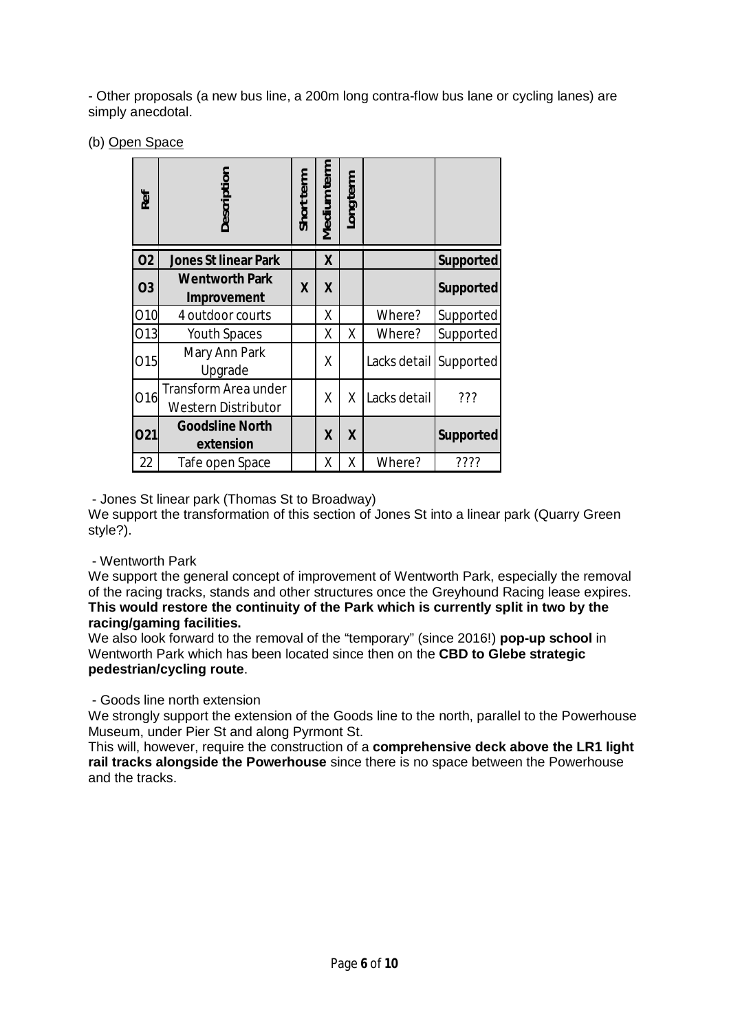- Other proposals (a new bus line, a 200m long contra-flow bus lane or cycling lanes) are simply anecdotal.

(b) Open Space

|                              | Ref       | Jescription                                                                                                                                                                                                                                                                                                                                                                                                                                                                                                                                            | Short term | Medium term      | Long term |                        |                  |
|------------------------------|-----------|--------------------------------------------------------------------------------------------------------------------------------------------------------------------------------------------------------------------------------------------------------------------------------------------------------------------------------------------------------------------------------------------------------------------------------------------------------------------------------------------------------------------------------------------------------|------------|------------------|-----------|------------------------|------------------|
|                              | <b>O2</b> | <b>Jones St linear Park</b>                                                                                                                                                                                                                                                                                                                                                                                                                                                                                                                            |            | $\boldsymbol{X}$ |           |                        | <b>Supported</b> |
|                              | <b>O3</b> | <b>Wentworth Park</b><br>Improvement                                                                                                                                                                                                                                                                                                                                                                                                                                                                                                                   | X          | $\boldsymbol{X}$ |           |                        | <b>Supported</b> |
|                              | 010       | 4 outdoor courts                                                                                                                                                                                                                                                                                                                                                                                                                                                                                                                                       |            | χ                |           | Where?                 | Supported        |
|                              | 013       | Youth Spaces                                                                                                                                                                                                                                                                                                                                                                                                                                                                                                                                           |            | Χ                | χ         | Where?                 | Supported        |
|                              | 015       | Mary Ann Park<br>Upgrade                                                                                                                                                                                                                                                                                                                                                                                                                                                                                                                               |            | χ                |           | Lacks detail Supported |                  |
|                              | 016       | <b>Transform Area under</b><br><b>Western Distributor</b>                                                                                                                                                                                                                                                                                                                                                                                                                                                                                              |            | X                | X         | Lacks detail           | ???              |
|                              | 021       | <b>Goodsline North</b><br>extension                                                                                                                                                                                                                                                                                                                                                                                                                                                                                                                    |            | X                | X         |                        | <b>Supported</b> |
|                              | 22        | Tafe open Space                                                                                                                                                                                                                                                                                                                                                                                                                                                                                                                                        |            | Χ                | Χ         | Where?                 | ????             |
| style?).<br>- Wentworth Park |           | - Jones St linear park (Thomas St to Broadway)<br>We support the transformation of this section of Jones St into a linear<br>We support the general concept of improvement of Wentworth Park, e<br>of the racing tracks, stands and other structures once the Greyhound<br>This would restore the continuity of the Park which is currently s<br>racing/gaming facilities.<br>We also look forward to the removal of the "temporary" (since 2016!) p<br>Wentworth Park which has been located since then on the CBD to GI<br>pedestrian/cycling route. |            |                  |           |                        |                  |
| and the tracks.              |           | - Goods line north extension<br>We strongly support the extension of the Goods line to the north, para<br>Museum, under Pier St and along Pyrmont St.<br>This will, however, require the construction of a comprehensive deck<br>rail tracks alongside the Powerhouse since there is no space betwe                                                                                                                                                                                                                                                    |            |                  |           |                        |                  |

We support the transformation of this section of Jones St into a linear park (Quarry Green style?).

### - Wentworth Park

We support the general concept of improvement of Wentworth Park, especially the removal of the racing tracks, stands and other structures once the Greyhound Racing lease expires. **This would restore the continuity of the Park which is currently split in two by the racing/gaming facilities.**

We also look forward to the removal of the "temporary" (since 2016!) **pop-up school** in Wentworth Park which has been located since then on the **CBD to Glebe strategic pedestrian/cycling route**.

We strongly support the extension of the Goods line to the north, parallel to the Powerhouse Museum, under Pier St and along Pyrmont St.

This will, however, require the construction of a **comprehensive deck above the LR1 light rail tracks alongside the Powerhouse** since there is no space between the Powerhouse and the tracks.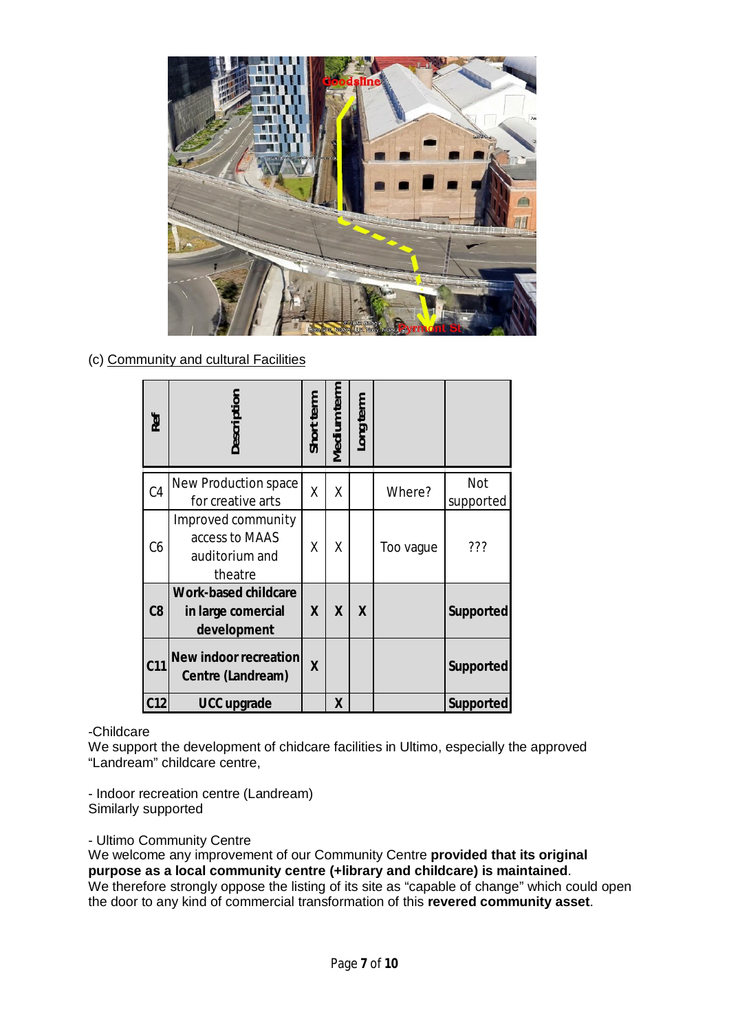

(c) Community and cultural Facilities

|                     | Ref             | Description                                                                                                                                                                                                                                                                                                                                                                | Short term       | <b>Medium term</b> | Long term        |           |                         |  |
|---------------------|-----------------|----------------------------------------------------------------------------------------------------------------------------------------------------------------------------------------------------------------------------------------------------------------------------------------------------------------------------------------------------------------------------|------------------|--------------------|------------------|-----------|-------------------------|--|
|                     | C <sub>4</sub>  | <b>New Production space</b><br>for creative arts                                                                                                                                                                                                                                                                                                                           | Χ                | X                  |                  | Where?    | <b>Not</b><br>supported |  |
|                     | C6              | Improved community<br>access to MAAS<br>auditorium and<br>theatre                                                                                                                                                                                                                                                                                                          | X                | X                  |                  | Too vague | ???                     |  |
|                     | C8              | <b>Work-based childcare</b><br>in large comercial<br>development                                                                                                                                                                                                                                                                                                           | $\boldsymbol{X}$ | $\boldsymbol{X}$   | $\boldsymbol{X}$ |           | Supported               |  |
|                     | C <sub>11</sub> | New indoor recreation<br>Centre (Landream)                                                                                                                                                                                                                                                                                                                                 | X                |                    |                  |           | <b>Supported</b>        |  |
|                     | C <sub>12</sub> | <b>UCC upgrade</b>                                                                                                                                                                                                                                                                                                                                                         |                  | X                  |                  |           | <b>Supported</b>        |  |
| -Childcare          |                 | We support the development of chidcare facilities in Ultimo, especially the approved<br>"Landream" childcare centre,<br>- Indoor recreation centre (Landream)                                                                                                                                                                                                              |                  |                    |                  |           |                         |  |
| Similarly supported |                 |                                                                                                                                                                                                                                                                                                                                                                            |                  |                    |                  |           |                         |  |
|                     |                 | - Ultimo Community Centre<br>We welcome any improvement of our Community Centre provided that its original<br>purpose as a local community centre (+library and childcare) is maintained.<br>We therefore strongly oppose the listing of its site as "capable of change" which could<br>the door to any kind of commercial transformation of this revered community asset. |                  |                    |                  |           |                         |  |

## -Childcare

## - Ultimo Community Centre

We welcome any improvement of our Community Centre **provided that its original purpose as a local community centre (+library and childcare) is maintained**. We therefore strongly oppose the listing of its site as "capable of change" which could open the door to any kind of commercial transformation of this revered community asset.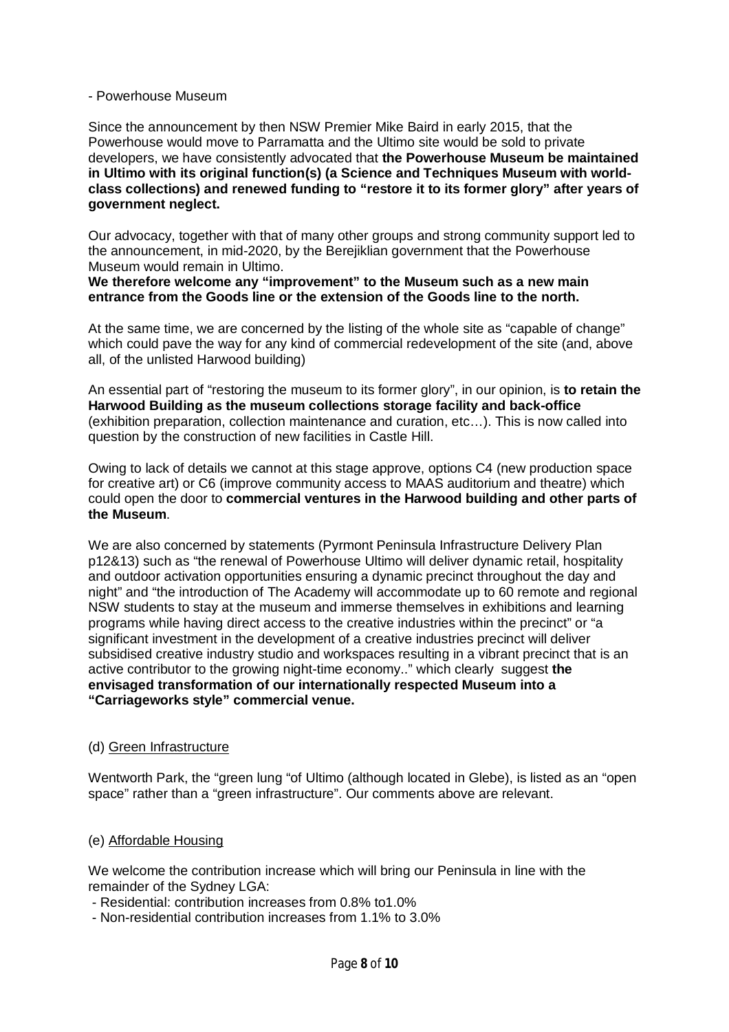#### - Powerhouse Museum

Since the announcement by then NSW Premier Mike Baird in early 2015, that the Powerhouse would move to Parramatta and the Ultimo site would be sold to private developers, we have consistently advocated that **the Powerhouse Museum be maintained in Ultimo with its original function(s) (a Science and Techniques Museum with worldclass collections) and renewed funding to "restore it to its former glory" after years of government neglect.**

Our advocacy, together with that of many other groups and strong community support led to the announcement, in mid-2020, by the Berejiklian government that the Powerhouse Museum would remain in Ultimo.

#### **We therefore welcome any "improvement" to the Museum such as a new main entrance from the Goods line or the extension of the Goods line to the north.**

At the same time, we are concerned by the listing of the whole site as "capable of change" which could pave the way for any kind of commercial redevelopment of the site (and, above all, of the unlisted Harwood building)

An essential part of "restoring the museum to its former glory", in our opinion, is **to retain the Harwood Building as the museum collections storage facility and back-office** (exhibition preparation, collection maintenance and curation, etc…). This is now called into question by the construction of new facilities in Castle Hill.

Owing to lack of details we cannot at this stage approve, options C4 (new production space for creative art) or C6 (improve community access to MAAS auditorium and theatre) which could open the door to **commercial ventures in the Harwood building and other parts of the Museum**.

We are also concerned by statements (Pyrmont Peninsula Infrastructure Delivery Plan p12&13) such as "the renewal of Powerhouse Ultimo will deliver dynamic retail, hospitality and outdoor activation opportunities ensuring a dynamic precinct throughout the day and night" and "the introduction of The Academy will accommodate up to 60 remote and regional NSW students to stay at the museum and immerse themselves in exhibitions and learning programs while having direct access to the creative industries within the precinct" or "a significant investment in the development of a creative industries precinct will deliver subsidised creative industry studio and workspaces resulting in a vibrant precinct that is an active contributor to the growing night-time economy.." which clearly suggest **the envisaged transformation of our internationally respected Museum into a "Carriageworks style" commercial venue.**

### (d) Green Infrastructure

Wentworth Park, the "green lung "of Ultimo (although located in Glebe), is listed as an "open space" rather than a "green infrastructure". Our comments above are relevant.

### (e) Affordable Housing

We welcome the contribution increase which will bring our Peninsula in line with the remainder of the Sydney LGA:

- Residential: contribution increases from 0.8% to1.0%

- Non-residential contribution increases from 1.1% to 3.0%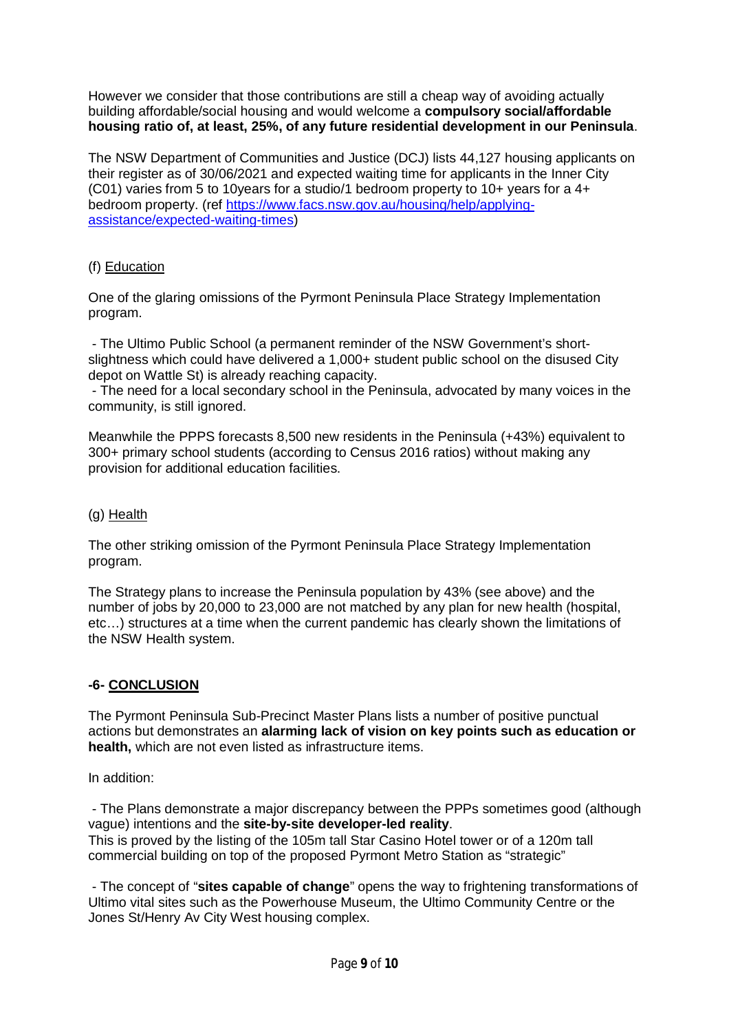However we consider that those contributions are still a cheap way of avoiding actually building affordable/social housing and would welcome a **compulsory social/affordable housing ratio of, at least, 25%, of any future residential development in our Peninsula**.

The NSW Department of Communities and Justice (DCJ) lists 44,127 housing applicants on their register as of 30/06/2021 and expected waiting time for applicants in the Inner City (C01) varies from 5 to 10years for a studio/1 bedroom property to 10+ years for a 4+ bedroom property. (ref https://www.facs.nsw.gov.au/housing/help/applyingassistance/expected-waiting-times)

## (f) Education

One of the glaring omissions of the Pyrmont Peninsula Place Strategy Implementation program.

- The Ultimo Public School (a permanent reminder of the NSW Government's shortslightness which could have delivered a 1,000+ student public school on the disused City depot on Wattle St) is already reaching capacity.

- The need for a local secondary school in the Peninsula, advocated by many voices in the community, is still ignored.

Meanwhile the PPPS forecasts 8,500 new residents in the Peninsula (+43%) equivalent to 300+ primary school students (according to Census 2016 ratios) without making any provision for additional education facilities.

### (g) Health

The other striking omission of the Pyrmont Peninsula Place Strategy Implementation program.

The Strategy plans to increase the Peninsula population by 43% (see above) and the number of jobs by 20,000 to 23,000 are not matched by any plan for new health (hospital, etc…) structures at a time when the current pandemic has clearly shown the limitations of the NSW Health system.

## **-6- CONCLUSION**

The Pyrmont Peninsula Sub-Precinct Master Plans lists a number of positive punctual actions but demonstrates an **alarming lack of vision on key points such as education or health,** which are not even listed as infrastructure items.

In addition:

- The Plans demonstrate a major discrepancy between the PPPs sometimes good (although vague) intentions and the **site-by-site developer-led reality**.

This is proved by the listing of the 105m tall Star Casino Hotel tower or of a 120m tall commercial building on top of the proposed Pyrmont Metro Station as "strategic"

- The concept of "**sites capable of change**" opens the way to frightening transformations of Ultimo vital sites such as the Powerhouse Museum, the Ultimo Community Centre or the Jones St/Henry Av City West housing complex.